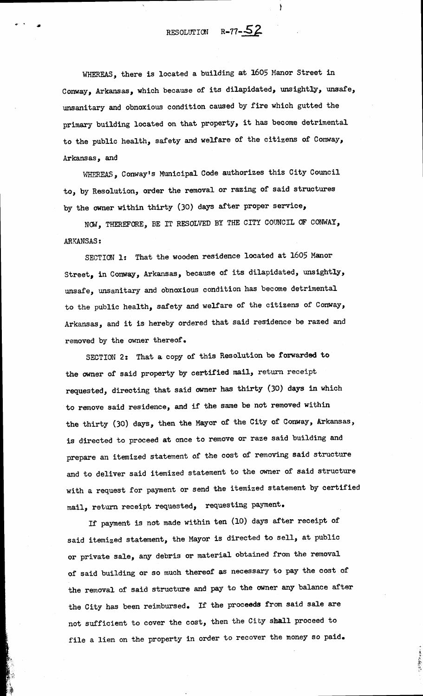RESOLUTION  $R-77-\frac{52}{3}$ 

ł

WHEREAS, there is located a building at 1605 Manor Street in Conway, Arkansas, which because of its dilapidated, unsightly, unsafe, unsanitary and obnoxious condition caused by fire which gutted the primary building located on that property, it has become detrimental to the public health, safety and welfare of the citizens of Conway, Arkansas, and

WHEREAS, Conway's Municipal Code authorizes this City Council to, by Resolution, order the removal or razing of said structures by the owner within thirty (30) days after proper service,

NOW, THEREFORE, BE IT RESOLVED BY THE CITY COUNCIL OF CONWAY, **ARKANSAS:** 

SECTION 1: That the wooden residence located at 1605 Manor Street, in Conway, Arkansas, because of its dilapidated, unsightly, unsafe, unsanitary and obnoxious condition has become detrimental to the public health, safety and welfare of the citizens of Conway, Arkansas, and it is hereby ordered that said residence be razed and removed by the owner thereof.

SECTION 2: That a copy of this Resolution be forwarded to the owner of said property by certified mail, return receipt requested, directing that said owner has thirty (30) days in which to remove said residence, and if the same be not removed within the thirty (30) days, then the Mayor of the City of Conway, Arkansas, is directed to proceed at once to remove or raze said building and prepare an itemized statement of the cost of removing said structure and to deliver said itemized statement to the owner of said structure with a request for payment or send the itemized statement by certified mail, return receipt requested, requesting payment.

If payment is not made within ten (10) days after receipt of said itemized statement, the Mayor is directed to sell, at public or private sale, any debris or material obtained from the removal of said building or so much thereof as necessary to pay the cost of the removal of said structure and pay to the owner any balance after the City has been reimbursed. If the proceeds from said sale are not sufficient to cover the cost, then the City shall proceed to file a lien on the property in order to recover the money so paid.

医子宫神经的